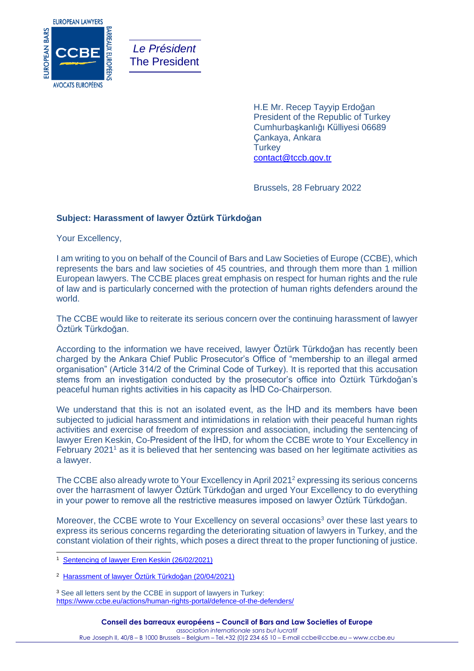

*Le Président* The President

> H.E Mr. Recep Tayyip Erdoğan President of the Republic of Turkey Cumhurbaşkanlığı Külliyesi 06689 Çankaya, Ankara **Turkey** [contact@tccb.gov.tr](mailto:contact@tccb.gov.tr)

Brussels, 28 February 2022

# **Subject: Harassment of lawyer Öztürk Türkdoğan**

Your Excellency,

I am writing to you on behalf of the Council of Bars and Law Societies of Europe (CCBE), which represents the bars and law societies of 45 countries, and through them more than 1 million European lawyers. The CCBE places great emphasis on respect for human rights and the rule of law and is particularly concerned with the protection of human rights defenders around the world.

The CCBE would like to reiterate its serious concern over the continuing harassment of lawyer Öztürk Türkdoğan.

According to the information we have received, lawyer Öztürk Türkdoğan has recently been charged by the Ankara Chief Public Prosecutor's Office of "membership to an illegal armed organisation" (Article 314/2 of the Criminal Code of Turkey). It is reported that this accusation stems from an investigation conducted by the prosecutor's office into Öztürk Türkdoğan's peaceful human rights activities in his capacity as İHD Co-Chairperson.

We understand that this is not an isolated event, as the **IHD** and its members have been subjected to judicial harassment and intimidations in relation with their peaceful human rights activities and exercise of freedom of expression and association, including the sentencing of lawyer Eren Keskin, Co-President of the İHD, for whom the CCBE wrote to Your Excellency in February 2021<sup>1</sup> as it is believed that her sentencing was based on her legitimate activities as a lawyer.

The CCBE also already wrote to Your Excellency in April 2021<sup>2</sup> expressing its serious concerns over the harrasment of lawyer Öztürk Türkdoğan and urged Your Excellency to do everything in your power to remove all the restrictive measures imposed on lawyer Öztürk Türkdoğan.

Moreover, the CCBE wrote to Your Excellency on several occasions<sup>3</sup> over these last years to express its serious concerns regarding the deteriorating situation of lawyers in Turkey, and the constant violation of their rights, which poses a direct threat to the proper functioning of justice.

<sup>3</sup> See all letters sent by the CCBE in support of lawyers in Turkey: <https://www.ccbe.eu/actions/human-rights-portal/defence-of-the-defenders/>

<sup>1</sup> [Sentencing of lawyer Eren Keskin \(26/02/2021\)](https://www.ccbe.eu/fileadmin/speciality_distribution/public/documents/HUMAN_RIGHTS_LETTERS/Turkey_-_Turquie/2021/EN_HRL_20210226_Turkey_Sentencing-of-lawyer-Eren-Keskin.pdf)

<sup>2</sup> [Harassment of lawyer Öztürk Türkdoğan \(20/04/2021\)](https://www.ccbe.eu/fileadmin/speciality_distribution/public/documents/HUMAN_RIGHTS_LETTERS/Turkey_-_Turquie/2021/EN_HRL_20210420_Turkey_Harassment-of-lawyer-O-ztu-rk-Tu-rkdog-an.pdf)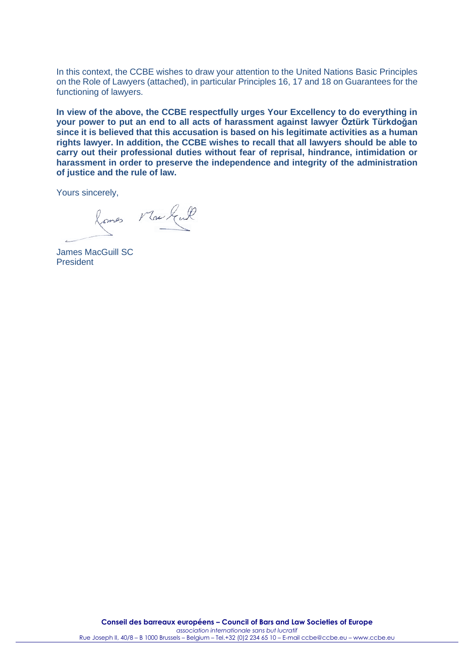In this context, the CCBE wishes to draw your attention to the United Nations Basic Principles on the Role of Lawyers (attached), in particular Principles 16, 17 and 18 on Guarantees for the functioning of lawyers.

**In view of the above, the CCBE respectfully urges Your Excellency to do everything in your power to put an end to all acts of harassment against lawyer Öztürk Türkdoğan since it is believed that this accusation is based on his legitimate activities as a human rights lawyer. In addition, the CCBE wishes to recall that all lawyers should be able to carry out their professional duties without fear of reprisal, hindrance, intimidation or harassment in order to preserve the independence and integrity of the administration of justice and the rule of law.**

Yours sincerely,

Romes Markent

James MacGuill SC President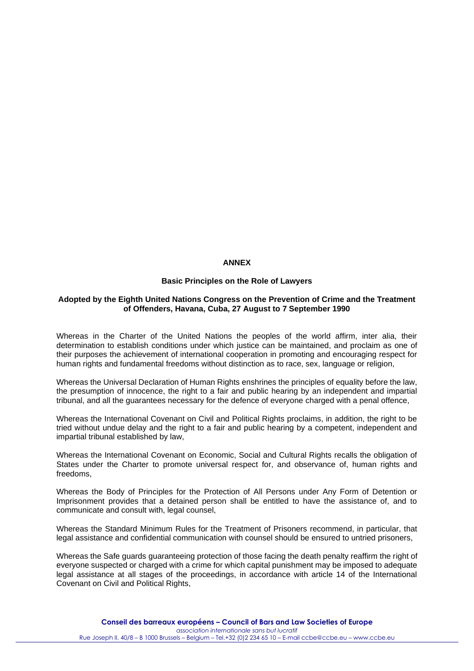# **ANNEX**

# **Basic Principles on the Role of Lawyers**

### **Adopted by the Eighth United Nations Congress on the Prevention of Crime and the Treatment of Offenders, Havana, Cuba, 27 August to 7 September 1990**

Whereas in the Charter of the United Nations the peoples of the world affirm, inter alia, their determination to establish conditions under which justice can be maintained, and proclaim as one of their purposes the achievement of international cooperation in promoting and encouraging respect for human rights and fundamental freedoms without distinction as to race, sex, language or religion,

Whereas the Universal Declaration of Human Rights enshrines the principles of equality before the law, the presumption of innocence, the right to a fair and public hearing by an independent and impartial tribunal, and all the guarantees necessary for the defence of everyone charged with a penal offence,

Whereas the International Covenant on Civil and Political Rights proclaims, in addition, the right to be tried without undue delay and the right to a fair and public hearing by a competent, independent and impartial tribunal established by law,

Whereas the International Covenant on Economic, Social and Cultural Rights recalls the obligation of States under the Charter to promote universal respect for, and observance of, human rights and freedoms,

Whereas the Body of Principles for the Protection of All Persons under Any Form of Detention or Imprisonment provides that a detained person shall be entitled to have the assistance of, and to communicate and consult with, legal counsel,

Whereas the Standard Minimum Rules for the Treatment of Prisoners recommend, in particular, that legal assistance and confidential communication with counsel should be ensured to untried prisoners,

Whereas the Safe guards guaranteeing protection of those facing the death penalty reaffirm the right of everyone suspected or charged with a crime for which capital punishment may be imposed to adequate legal assistance at all stages of the proceedings, in accordance with article 14 of the International Covenant on Civil and Political Rights.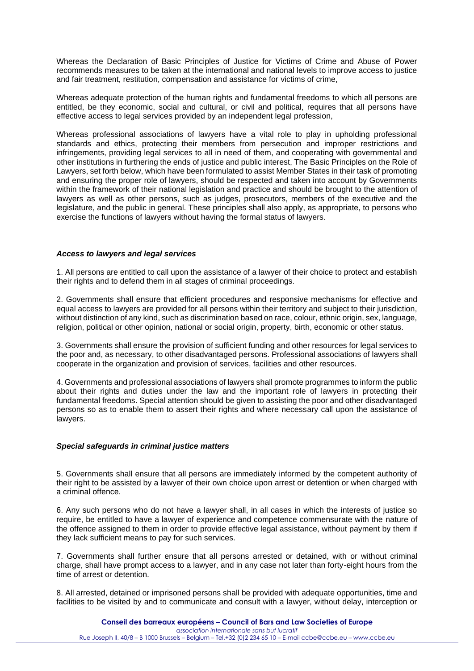Whereas the Declaration of Basic Principles of Justice for Victims of Crime and Abuse of Power recommends measures to be taken at the international and national levels to improve access to justice and fair treatment, restitution, compensation and assistance for victims of crime,

Whereas adequate protection of the human rights and fundamental freedoms to which all persons are entitled, be they economic, social and cultural, or civil and political, requires that all persons have effective access to legal services provided by an independent legal profession,

Whereas professional associations of lawyers have a vital role to play in upholding professional standards and ethics, protecting their members from persecution and improper restrictions and infringements, providing legal services to all in need of them, and cooperating with governmental and other institutions in furthering the ends of justice and public interest, The Basic Principles on the Role of Lawyers, set forth below, which have been formulated to assist Member States in their task of promoting and ensuring the proper role of lawyers, should be respected and taken into account by Governments within the framework of their national legislation and practice and should be brought to the attention of lawyers as well as other persons, such as judges, prosecutors, members of the executive and the legislature, and the public in general. These principles shall also apply, as appropriate, to persons who exercise the functions of lawyers without having the formal status of lawyers.

# *Access to lawyers and legal services*

1. All persons are entitled to call upon the assistance of a lawyer of their choice to protect and establish their rights and to defend them in all stages of criminal proceedings.

2. Governments shall ensure that efficient procedures and responsive mechanisms for effective and equal access to lawyers are provided for all persons within their territory and subject to their jurisdiction, without distinction of any kind, such as discrimination based on race, colour, ethnic origin, sex, language, religion, political or other opinion, national or social origin, property, birth, economic or other status.

3. Governments shall ensure the provision of sufficient funding and other resources for legal services to the poor and, as necessary, to other disadvantaged persons. Professional associations of lawyers shall cooperate in the organization and provision of services, facilities and other resources.

4. Governments and professional associations of lawyers shall promote programmes to inform the public about their rights and duties under the law and the important role of lawyers in protecting their fundamental freedoms. Special attention should be given to assisting the poor and other disadvantaged persons so as to enable them to assert their rights and where necessary call upon the assistance of lawyers.

### *Special safeguards in criminal justice matters*

5. Governments shall ensure that all persons are immediately informed by the competent authority of their right to be assisted by a lawyer of their own choice upon arrest or detention or when charged with a criminal offence.

6. Any such persons who do not have a lawyer shall, in all cases in which the interests of justice so require, be entitled to have a lawyer of experience and competence commensurate with the nature of the offence assigned to them in order to provide effective legal assistance, without payment by them if they lack sufficient means to pay for such services.

7. Governments shall further ensure that all persons arrested or detained, with or without criminal charge, shall have prompt access to a lawyer, and in any case not later than forty-eight hours from the time of arrest or detention.

8. All arrested, detained or imprisoned persons shall be provided with adequate opportunities, time and facilities to be visited by and to communicate and consult with a lawyer, without delay, interception or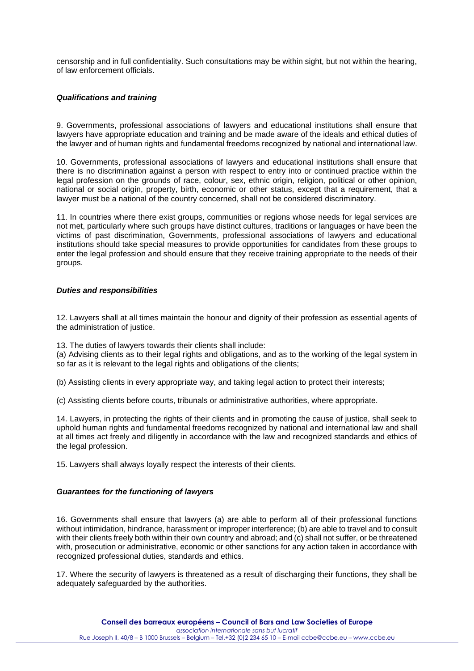censorship and in full confidentiality. Such consultations may be within sight, but not within the hearing, of law enforcement officials.

# *Qualifications and training*

9. Governments, professional associations of lawyers and educational institutions shall ensure that lawyers have appropriate education and training and be made aware of the ideals and ethical duties of the lawyer and of human rights and fundamental freedoms recognized by national and international law.

10. Governments, professional associations of lawyers and educational institutions shall ensure that there is no discrimination against a person with respect to entry into or continued practice within the legal profession on the grounds of race, colour, sex, ethnic origin, religion, political or other opinion, national or social origin, property, birth, economic or other status, except that a requirement, that a lawyer must be a national of the country concerned, shall not be considered discriminatory.

11. In countries where there exist groups, communities or regions whose needs for legal services are not met, particularly where such groups have distinct cultures, traditions or languages or have been the victims of past discrimination, Governments, professional associations of lawyers and educational institutions should take special measures to provide opportunities for candidates from these groups to enter the legal profession and should ensure that they receive training appropriate to the needs of their groups.

# *Duties and responsibilities*

12. Lawyers shall at all times maintain the honour and dignity of their profession as essential agents of the administration of justice.

13. The duties of lawyers towards their clients shall include:

(a) Advising clients as to their legal rights and obligations, and as to the working of the legal system in so far as it is relevant to the legal rights and obligations of the clients;

(b) Assisting clients in every appropriate way, and taking legal action to protect their interests;

(c) Assisting clients before courts, tribunals or administrative authorities, where appropriate.

14. Lawyers, in protecting the rights of their clients and in promoting the cause of justice, shall seek to uphold human rights and fundamental freedoms recognized by national and international law and shall at all times act freely and diligently in accordance with the law and recognized standards and ethics of the legal profession.

15. Lawyers shall always loyally respect the interests of their clients.

### *Guarantees for the functioning of lawyers*

16. Governments shall ensure that lawyers (a) are able to perform all of their professional functions without intimidation, hindrance, harassment or improper interference; (b) are able to travel and to consult with their clients freely both within their own country and abroad; and (c) shall not suffer, or be threatened with, prosecution or administrative, economic or other sanctions for any action taken in accordance with recognized professional duties, standards and ethics.

17. Where the security of lawyers is threatened as a result of discharging their functions, they shall be adequately safeguarded by the authorities.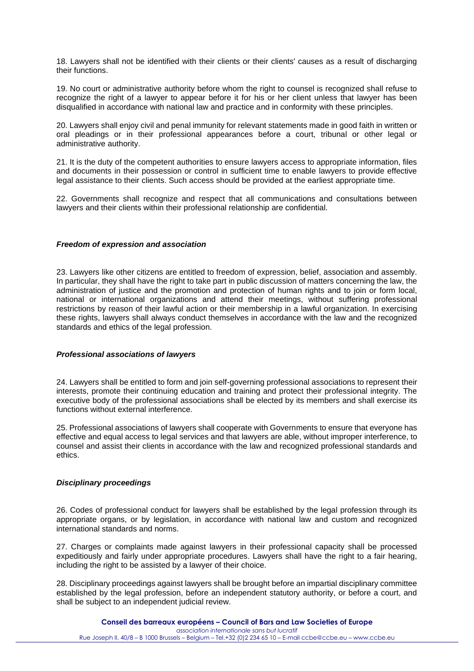18. Lawyers shall not be identified with their clients or their clients' causes as a result of discharging their functions.

19. No court or administrative authority before whom the right to counsel is recognized shall refuse to recognize the right of a lawyer to appear before it for his or her client unless that lawyer has been disqualified in accordance with national law and practice and in conformity with these principles.

20. Lawyers shall enjoy civil and penal immunity for relevant statements made in good faith in written or oral pleadings or in their professional appearances before a court, tribunal or other legal or administrative authority.

21. It is the duty of the competent authorities to ensure lawyers access to appropriate information, files and documents in their possession or control in sufficient time to enable lawyers to provide effective legal assistance to their clients. Such access should be provided at the earliest appropriate time.

22. Governments shall recognize and respect that all communications and consultations between lawyers and their clients within their professional relationship are confidential.

### *Freedom of expression and association*

23. Lawyers like other citizens are entitled to freedom of expression, belief, association and assembly. In particular, they shall have the right to take part in public discussion of matters concerning the law, the administration of justice and the promotion and protection of human rights and to join or form local, national or international organizations and attend their meetings, without suffering professional restrictions by reason of their lawful action or their membership in a lawful organization. In exercising these rights, lawyers shall always conduct themselves in accordance with the law and the recognized standards and ethics of the legal profession.

### *Professional associations of lawyers*

24. Lawyers shall be entitled to form and join self-governing professional associations to represent their interests, promote their continuing education and training and protect their professional integrity. The executive body of the professional associations shall be elected by its members and shall exercise its functions without external interference.

25. Professional associations of lawyers shall cooperate with Governments to ensure that everyone has effective and equal access to legal services and that lawyers are able, without improper interference, to counsel and assist their clients in accordance with the law and recognized professional standards and ethics.

# *Disciplinary proceedings*

26. Codes of professional conduct for lawyers shall be established by the legal profession through its appropriate organs, or by legislation, in accordance with national law and custom and recognized international standards and norms.

27. Charges or complaints made against lawyers in their professional capacity shall be processed expeditiously and fairly under appropriate procedures. Lawyers shall have the right to a fair hearing, including the right to be assisted by a lawyer of their choice.

28. Disciplinary proceedings against lawyers shall be brought before an impartial disciplinary committee established by the legal profession, before an independent statutory authority, or before a court, and shall be subject to an independent judicial review.